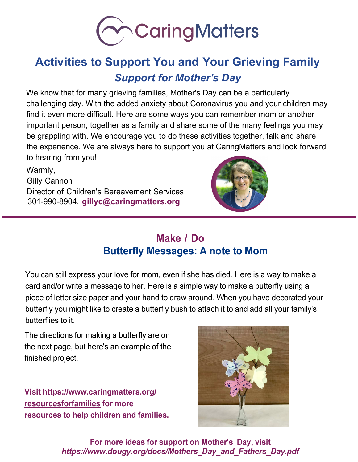

# **Activities to Support You and Your Grieving Family**  *Support for Mother's Day*

We know that for many grieving families, Mother's Day can be a particularly challenging day. With the added anxiety about Coronavirus you and your children may find it even more difficult. Here are some ways you can remember mom or another important person, together as a family and share some of the many feelings you may be grappling with. We encourage you to do these activities together, talk and share the experience. We are always here to support you at CaringMatters and look forward to hearing from you!

Warmly, Gilly Cannon Director of Children's Bereavement Services 301-990-8904, **[gillyc@caringmatters.org](mailto:gillyc@caringmatters.org)**



## **Make / Do Butterfly Messages: A note to Mom**

You can still express your love for mom, even if she has died. Here is a way to make a card and/or write a message to her. Here is a simple way to make a butterfly using a piece of letter size paper and your hand to draw around. When you have decorated your butterfly you might like to create a butterfly bush to attach it to and add all your family's butterflies to it.

The directions for making a butterfly are on the next page, but here's an example of the finished project.

**[Visit https://www.caringmatters.org/](https://www.caringmatters.org/resourcesforfamilies) resourcesforfamilies for more resources to help children and families.**



**For more ideas for support on Mother's Day, visit**  *[https://www.dougy.org/docs/Mothers\\_Day\\_and\\_Fathers\\_Day.pdf](https://www.dougy.org/docs/Mothers_Day_and_Fathers_Day.pdf)*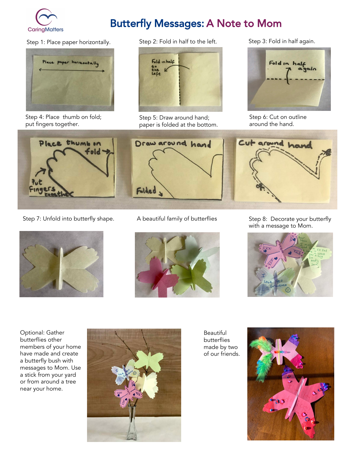

# Butterfly Messages: A Note to Mom



Step 4: Place thumb on fold; put fingers together.





Step 5: Draw around hand; paper is folded at the bottom.

Step 3: Fold in half again.



Step 6: Cut on outline around the hand.

Cut around hand



Step 7: Unfold into butterfly shape. A beautiful family of butterflies Step 8: Decorate your butterfly











Optional: Gather butterflies other members of your home have made and create a butterfly bush with messages to Mom. Use a stick from your yard or from around a tree near your home.



Beautiful butterflies made by two of our friends.

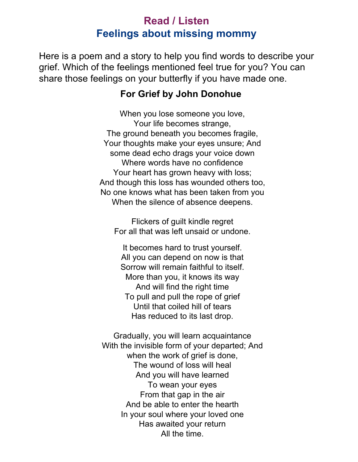#### **Read / Listen Feelings about missing mommy**

Here is a poem and a story to help you find words to describe your grief. Which of the feelings mentioned feel true for you? You can share those feelings on your butterfly if you have made one.

#### **For Grief by John Donohue**

When you lose someone you love, Your life becomes strange, The ground beneath you becomes fragile, Your thoughts make your eyes unsure; And some dead echo drags your voice down Where words have no confidence Your heart has grown heavy with loss; And though this loss has wounded others too, No one knows what has been taken from you When the silence of absence deepens.

Flickers of guilt kindle regret For all that was left unsaid or undone.

It becomes hard to trust yourself. All you can depend on now is that Sorrow will remain faithful to itself. More than you, it knows its way And will find the right time To pull and pull the rope of grief Until that coiled hill of tears Has reduced to its last drop.

Gradually, you will learn acquaintance With the invisible form of your departed; And when the work of grief is done, The wound of loss will heal And you will have learned To wean your eyes From that gap in the air And be able to enter the hearth In your soul where your loved one Has awaited your return All the time.